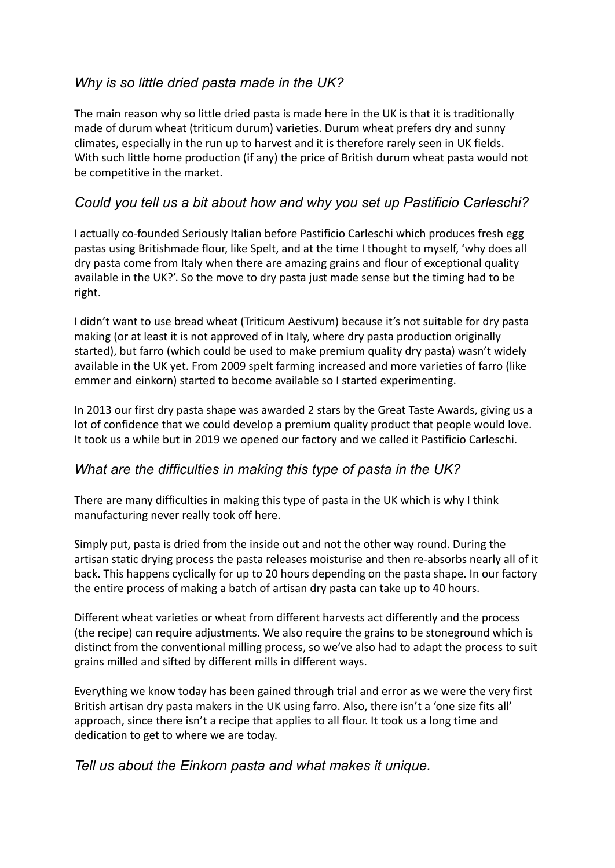# *Why is so little dried pasta made in the UK?*

The main reason why so little dried pasta is made here in the UK is that it is traditionally made of durum wheat (triticum durum) varieties. Durum wheat prefers dry and sunny climates, especially in the run up to harvest and it is therefore rarely seen in UK fields. With such little home production (if any) the price of British durum wheat pasta would not be competitive in the market.

## *Could you tell us a bit about how and why you set up Pastificio Carleschi?*

I actually co-founded Seriously Italian before Pastificio Carleschi which produces fresh egg pastas using Britishmade flour, like Spelt, and at the time I thought to myself, 'why does all dry pasta come from Italy when there are amazing grains and flour of exceptional quality available in the UK?'. So the move to dry pasta just made sense but the timing had to be right.

I didn't want to use bread wheat (Triticum Aestivum) because it's not suitable for dry pasta making (or at least it is not approved of in Italy, where dry pasta production originally started), but farro (which could be used to make premium quality dry pasta) wasn't widely available in the UK yet. From 2009 spelt farming increased and more varieties of farro (like emmer and einkorn) started to become available so I started experimenting.

In 2013 our first dry pasta shape was awarded 2 stars by the Great Taste Awards, giving us a lot of confidence that we could develop a premium quality product that people would love. It took us a while but in 2019 we opened our factory and we called it Pastificio Carleschi.

## *What are the difficulties in making this type of pasta in the UK?*

There are many difficulties in making this type of pasta in the UK which is why I think manufacturing never really took off here.

Simply put, pasta is dried from the inside out and not the other way round. During the artisan static drying process the pasta releases moisturise and then re-absorbs nearly all of it back. This happens cyclically for up to 20 hours depending on the pasta shape. In our factory the entire process of making a batch of artisan dry pasta can take up to 40 hours.

Different wheat varieties or wheat from different harvests act differently and the process (the recipe) can require adjustments. We also require the grains to be stoneground which is distinct from the conventional milling process, so we've also had to adapt the process to suit grains milled and sifted by different mills in different ways.

Everything we know today has been gained through trial and error as we were the very first British artisan dry pasta makers in the UK using farro. Also, there isn't a 'one size fits all' approach, since there isn't a recipe that applies to all flour. It took us a long time and dedication to get to where we are today.

## *Tell us about the Einkorn pasta and what makes it unique.*